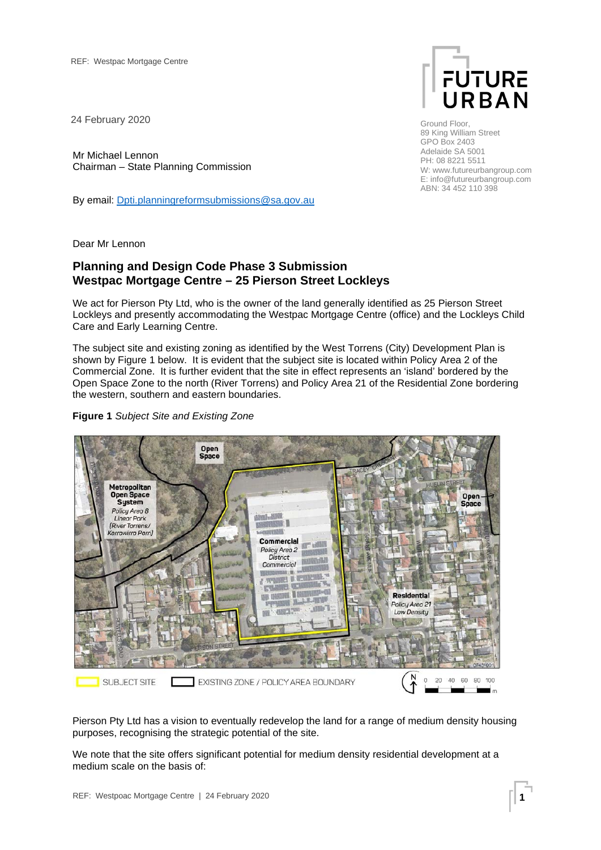24 February 2020

Mr Michael Lennon Chairman – State Planning Commission

By email: [Dpti.planningreformsubmissions@sa.gov.au](mailto:Dpti.planningreformsubmissions@sa.gov.au)



Ground Floor, 89 King William Street GPO Box 2403 Adelaide SA 5001 PH: 08 8221 5511 W: www.futureurbangroup.com E: info@futureurbangroup.com ABN: 34 452 110 398

Dear Mr Lennon

# **Planning and Design Code Phase 3 Submission Westpac Mortgage Centre – 25 Pierson Street Lockleys**

We act for Pierson Pty Ltd, who is the owner of the land generally identified as 25 Pierson Street Lockleys and presently accommodating the Westpac Mortgage Centre (office) and the Lockleys Child Care and Early Learning Centre.

The subject site and existing zoning as identified by the West Torrens (City) Development Plan is shown by Figure 1 below. It is evident that the subject site is located within Policy Area 2 of the Commercial Zone. It is further evident that the site in effect represents an 'island' bordered by the Open Space Zone to the north (River Torrens) and Policy Area 21 of the Residential Zone bordering the western, southern and eastern boundaries.

## **Figure 1** *Subject Site and Existing Zone*



Pierson Pty Ltd has a vision to eventually redevelop the land for a range of medium density housing purposes, recognising the strategic potential of the site.

We note that the site offers significant potential for medium density residential development at a medium scale on the basis of: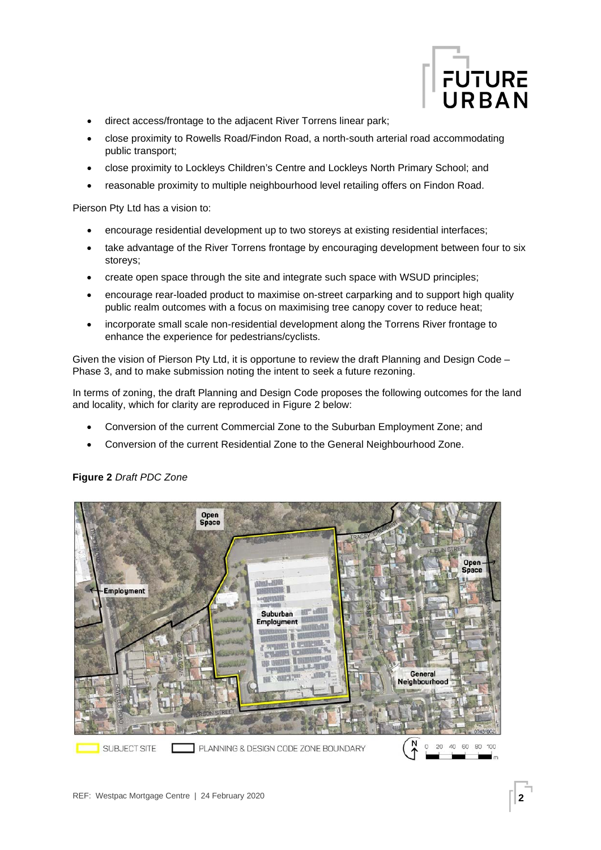

- direct access/frontage to the adjacent River Torrens linear park;
- close proximity to Rowells Road/Findon Road, a north-south arterial road accommodating public transport;
- close proximity to Lockleys Children's Centre and Lockleys North Primary School; and
- reasonable proximity to multiple neighbourhood level retailing offers on Findon Road.

Pierson Pty Ltd has a vision to:

- encourage residential development up to two storeys at existing residential interfaces;
- take advantage of the River Torrens frontage by encouraging development between four to six storeys;
- create open space through the site and integrate such space with WSUD principles;
- encourage rear-loaded product to maximise on-street carparking and to support high quality public realm outcomes with a focus on maximising tree canopy cover to reduce heat;
- incorporate small scale non-residential development along the Torrens River frontage to enhance the experience for pedestrians/cyclists.

Given the vision of Pierson Pty Ltd, it is opportune to review the draft Planning and Design Code – Phase 3, and to make submission noting the intent to seek a future rezoning.

In terms of zoning, the draft Planning and Design Code proposes the following outcomes for the land and locality, which for clarity are reproduced in Figure 2 below:

- Conversion of the current Commercial Zone to the Suburban Employment Zone; and
- Conversion of the current Residential Zone to the General Neighbourhood Zone.



## **Figure 2** *Draft PDC Zone*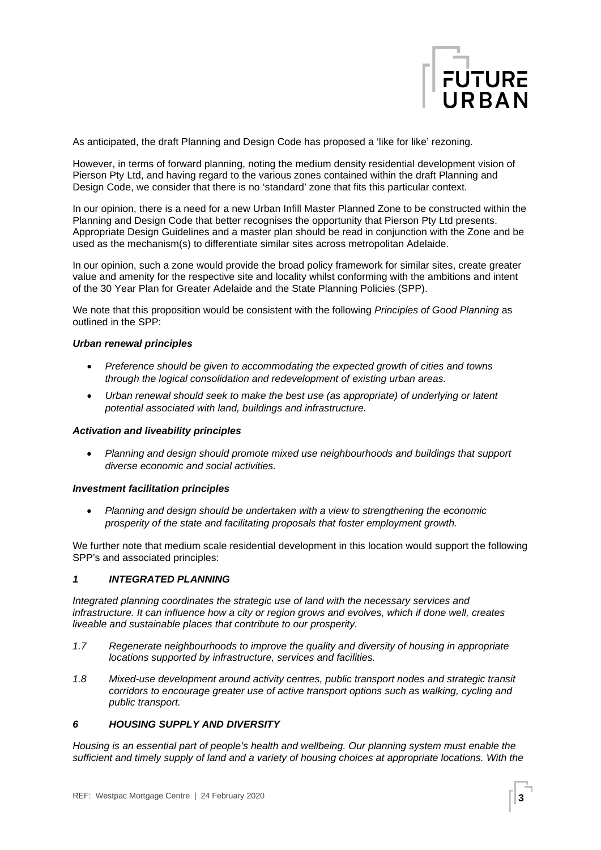

As anticipated, the draft Planning and Design Code has proposed a 'like for like' rezoning.

However, in terms of forward planning, noting the medium density residential development vision of Pierson Pty Ltd, and having regard to the various zones contained within the draft Planning and Design Code, we consider that there is no 'standard' zone that fits this particular context.

In our opinion, there is a need for a new Urban Infill Master Planned Zone to be constructed within the Planning and Design Code that better recognises the opportunity that Pierson Pty Ltd presents. Appropriate Design Guidelines and a master plan should be read in conjunction with the Zone and be used as the mechanism(s) to differentiate similar sites across metropolitan Adelaide.

In our opinion, such a zone would provide the broad policy framework for similar sites, create greater value and amenity for the respective site and locality whilst conforming with the ambitions and intent of the 30 Year Plan for Greater Adelaide and the State Planning Policies (SPP).

We note that this proposition would be consistent with the following *Principles of Good Planning* as outlined in the SPP:

### *Urban renewal principles*

- *Preference should be given to accommodating the expected growth of cities and towns through the logical consolidation and redevelopment of existing urban areas.*
- *Urban renewal should seek to make the best use (as appropriate) of underlying or latent potential associated with land, buildings and infrastructure.*

#### *Activation and liveability principles*

• *Planning and design should promote mixed use neighbourhoods and buildings that support diverse economic and social activities.* 

#### *Investment facilitation principles*

• *Planning and design should be undertaken with a view to strengthening the economic prosperity of the state and facilitating proposals that foster employment growth.* 

We further note that medium scale residential development in this location would support the following SPP's and associated principles:

#### *1 INTEGRATED PLANNING*

*Integrated planning coordinates the strategic use of land with the necessary services and infrastructure. It can influence how a city or region grows and evolves, which if done well, creates liveable and sustainable places that contribute to our prosperity.* 

- *1.7 Regenerate neighbourhoods to improve the quality and diversity of housing in appropriate locations supported by infrastructure, services and facilities.*
- *1.8 Mixed-use development around activity centres, public transport nodes and strategic transit corridors to encourage greater use of active transport options such as walking, cycling and public transport.*

## *6 HOUSING SUPPLY AND DIVERSITY*

*Housing is an essential part of people's health and wellbeing. Our planning system must enable the sufficient and timely supply of land and a variety of housing choices at appropriate locations. With the*